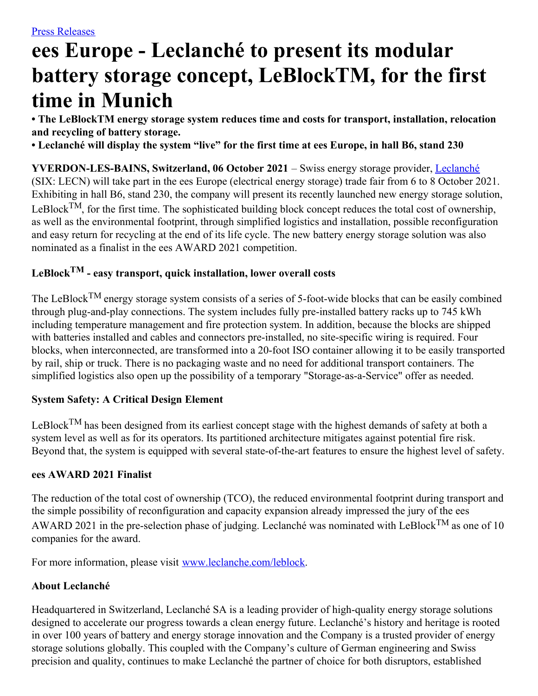# **ees Europe - Leclanché to present its modular battery storage concept, LeBlockTM, for the first time in Munich**

**• The LeBlockTM energy storage system reduces time and costs for transport, installation, relocation and recycling of battery storage.**

• Leclanché will display the system "live" for the first time at ees Europe, in hall B6, stand 230

**YVERDON-LES-BAINS, Switzerland, 06 October 2021** – Swiss energy storage provider, [Leclanché](http://www.leclanche.com/) (SIX: LECN) will take part in the ees Europe (electrical energy storage) trade fair from 6 to 8 October 2021. Exhibiting in hall B6, stand 230, the company will present its recently launched new energy storage solution, LeBlock<sup>TM</sup>, for the first time. The sophisticated building block concept reduces the total cost of ownership, as well as the environmental footprint, through simplified logistics and installation, possible reconfiguration and easy return for recycling at the end of its life cycle. The new battery energy storage solution was also nominated as a finalist in the ees AWARD 2021 competition.

# **LeBlock TM - easy transport, quick installation, lower overall costs**

The LeBlock<sup>TM</sup> energy storage system consists of a series of 5-foot-wide blocks that can be easily combined through plug-and-play connections. The system includes fully pre-installed battery racks up to 745 kWh including temperature management and fire protection system. In addition, because the blocks are shipped with batteries installed and cables and connectors pre-installed, no site-specific wiring is required. Four blocks, when interconnected, are transformed into a 20-foot ISO container allowing it to be easily transported by rail, ship or truck. There is no packaging waste and no need for additional transport containers. The simplified logistics also open up the possibility of a temporary "Storage-as-a-Service" offer as needed.

# **System Safety: A Critical Design Element**

LeBlock<sup>TM</sup> has been designed from its earliest concept stage with the highest demands of safety at both a system level as well as for its operators. Its partitioned architecture mitigates against potential fire risk. Beyond that, the system is equipped with several state-of-the-art features to ensure the highest level of safety.

## **ees AWARD 2021 Finalist**

The reduction of the total cost of ownership (TCO), the reduced environmental footprint during transport and the simple possibility of reconfiguration and capacity expansion already impressed the jury of the ees AWARD 2021 in the pre-selection phase of judging. Leclanché was nominated with LeBlock<sup>TM</sup> as one of 10 companies for the award.

For more information, please visit [www.leclanche.com/leblock](http://www.leclanche.com/leblock).

# **About Leclanché**

Headquartered in Switzerland, Leclanché SA is a leading provider of high-quality energy storage solutions designed to accelerate our progress towards a clean energy future. Leclanché's history and heritage is rooted in over 100 years of battery and energy storage innovation and the Company is a trusted provider of energy storage solutions globally. This coupled with the Company's culture of German engineering and Swiss precision and quality, continues to make Leclanché the partner of choice for both disruptors, established